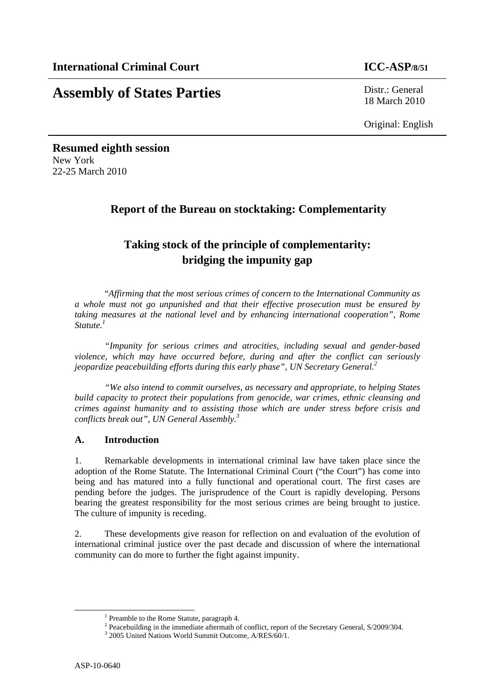# **Assembly of States Parties** Distr.: General

18 March 2010

Original: English

# **Resumed eighth session**  New York 22-25 March 2010

# **Report of the Bureau on stocktaking: Complementarity**

# **Taking stock of the principle of complementarity: bridging the impunity gap**

"*Affirming that the most serious crimes of concern to the International Community as a whole must not go unpunished and that their effective prosecution must be ensured by taking measures at the national level and by enhancing international cooperation", Rome Statute.1*

*"Impunity for serious crimes and atrocities, including sexual and gender-based violence, which may have occurred before, during and after the conflict can seriously jeopardize peacebuilding efforts during this early phase", UN Secretary General.<sup>2</sup>*

*"We also intend to commit ourselves, as necessary and appropriate, to helping States build capacity to protect their populations from genocide, war crimes, ethnic cleansing and crimes against humanity and to assisting those which are under stress before crisis and conflicts break out", UN General Assembly.<sup>3</sup>*

# **A. Introduction**

1. Remarkable developments in international criminal law have taken place since the adoption of the Rome Statute. The International Criminal Court ("the Court") has come into being and has matured into a fully functional and operational court. The first cases are pending before the judges. The jurisprudence of the Court is rapidly developing. Persons bearing the greatest responsibility for the most serious crimes are being brought to justice. The culture of impunity is receding.

2. These developments give reason for reflection on and evaluation of the evolution of international criminal justice over the past decade and discussion of where the international community can do more to further the fight against impunity.

<sup>&</sup>lt;u>1</u>  $<sup>1</sup>$  Preamble to the Rome Statute, paragraph 4.</sup>

<sup>&</sup>lt;sup>2</sup> Peacebuilding in the immediate aftermath of conflict, report of the Secretary General, S/2009/304.

<sup>&</sup>lt;sup>3</sup> 2005 United Nations World Summit Outcome, A/RES/60/1.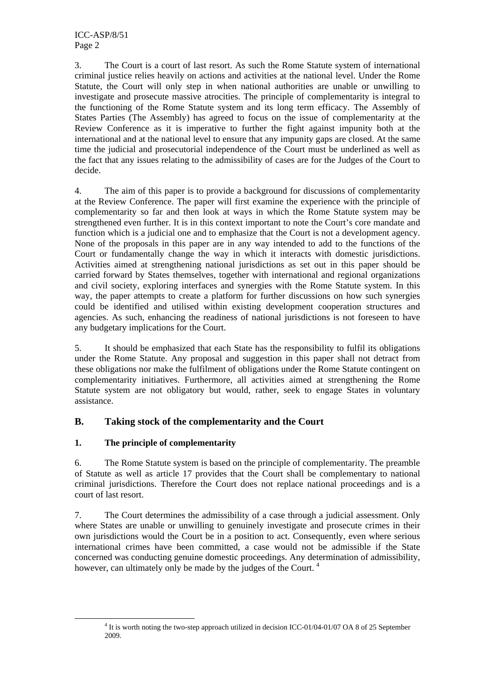3. The Court is a court of last resort. As such the Rome Statute system of international criminal justice relies heavily on actions and activities at the national level. Under the Rome Statute, the Court will only step in when national authorities are unable or unwilling to investigate and prosecute massive atrocities. The principle of complementarity is integral to the functioning of the Rome Statute system and its long term efficacy. The Assembly of States Parties (The Assembly) has agreed to focus on the issue of complementarity at the Review Conference as it is imperative to further the fight against impunity both at the international and at the national level to ensure that any impunity gaps are closed. At the same time the judicial and prosecutorial independence of the Court must be underlined as well as the fact that any issues relating to the admissibility of cases are for the Judges of the Court to decide.

4. The aim of this paper is to provide a background for discussions of complementarity at the Review Conference. The paper will first examine the experience with the principle of complementarity so far and then look at ways in which the Rome Statute system may be strengthened even further. It is in this context important to note the Court's core mandate and function which is a judicial one and to emphasize that the Court is not a development agency. None of the proposals in this paper are in any way intended to add to the functions of the Court or fundamentally change the way in which it interacts with domestic jurisdictions. Activities aimed at strengthening national jurisdictions as set out in this paper should be carried forward by States themselves, together with international and regional organizations and civil society, exploring interfaces and synergies with the Rome Statute system. In this way, the paper attempts to create a platform for further discussions on how such synergies could be identified and utilised within existing development cooperation structures and agencies. As such, enhancing the readiness of national jurisdictions is not foreseen to have any budgetary implications for the Court.

5. It should be emphasized that each State has the responsibility to fulfil its obligations under the Rome Statute. Any proposal and suggestion in this paper shall not detract from these obligations nor make the fulfilment of obligations under the Rome Statute contingent on complementarity initiatives. Furthermore, all activities aimed at strengthening the Rome Statute system are not obligatory but would, rather, seek to engage States in voluntary assistance.

# **B. Taking stock of the complementarity and the Court**

# **1. The principle of complementarity**

6. The Rome Statute system is based on the principle of complementarity. The preamble of Statute as well as article 17 provides that the Court shall be complementary to national criminal jurisdictions. Therefore the Court does not replace national proceedings and is a court of last resort.

7. The Court determines the admissibility of a case through a judicial assessment. Only where States are unable or unwilling to genuinely investigate and prosecute crimes in their own jurisdictions would the Court be in a position to act. Consequently, even where serious international crimes have been committed, a case would not be admissible if the State concerned was conducting genuine domestic proceedings. Any determination of admissibility, however, can ultimately only be made by the judges of the Court.<sup>4</sup>

 $\overline{a}$ <sup>4</sup> It is worth noting the two-step approach utilized in decision ICC-01/04-01/07 OA 8 of 25 September 2009.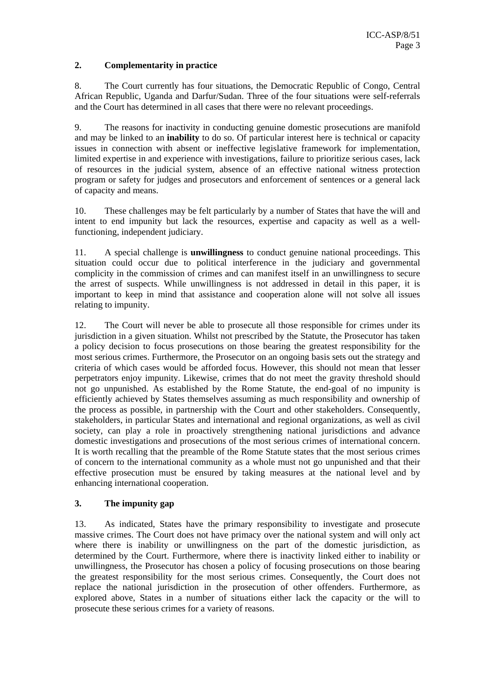#### **2. Complementarity in practice**

8. The Court currently has four situations, the Democratic Republic of Congo, Central African Republic, Uganda and Darfur/Sudan. Three of the four situations were self-referrals and the Court has determined in all cases that there were no relevant proceedings.

9. The reasons for inactivity in conducting genuine domestic prosecutions are manifold and may be linked to an **inability** to do so. Of particular interest here is technical or capacity issues in connection with absent or ineffective legislative framework for implementation, limited expertise in and experience with investigations, failure to prioritize serious cases, lack of resources in the judicial system, absence of an effective national witness protection program or safety for judges and prosecutors and enforcement of sentences or a general lack of capacity and means.

10. These challenges may be felt particularly by a number of States that have the will and intent to end impunity but lack the resources, expertise and capacity as well as a wellfunctioning, independent judiciary.

11. A special challenge is **unwillingness** to conduct genuine national proceedings. This situation could occur due to political interference in the judiciary and governmental complicity in the commission of crimes and can manifest itself in an unwillingness to secure the arrest of suspects. While unwillingness is not addressed in detail in this paper, it is important to keep in mind that assistance and cooperation alone will not solve all issues relating to impunity.

12. The Court will never be able to prosecute all those responsible for crimes under its jurisdiction in a given situation. Whilst not prescribed by the Statute, the Prosecutor has taken a policy decision to focus prosecutions on those bearing the greatest responsibility for the most serious crimes. Furthermore, the Prosecutor on an ongoing basis sets out the strategy and criteria of which cases would be afforded focus. However, this should not mean that lesser perpetrators enjoy impunity. Likewise, crimes that do not meet the gravity threshold should not go unpunished. As established by the Rome Statute, the end-goal of no impunity is efficiently achieved by States themselves assuming as much responsibility and ownership of the process as possible, in partnership with the Court and other stakeholders. Consequently, stakeholders, in particular States and international and regional organizations, as well as civil society, can play a role in proactively strengthening national jurisdictions and advance domestic investigations and prosecutions of the most serious crimes of international concern. It is worth recalling that the preamble of the Rome Statute states that the most serious crimes of concern to the international community as a whole must not go unpunished and that their effective prosecution must be ensured by taking measures at the national level and by enhancing international cooperation.

# **3. The impunity gap**

13. As indicated, States have the primary responsibility to investigate and prosecute massive crimes. The Court does not have primacy over the national system and will only act where there is inability or unwillingness on the part of the domestic jurisdiction, as determined by the Court. Furthermore, where there is inactivity linked either to inability or unwillingness, the Prosecutor has chosen a policy of focusing prosecutions on those bearing the greatest responsibility for the most serious crimes. Consequently, the Court does not replace the national jurisdiction in the prosecution of other offenders. Furthermore, as explored above, States in a number of situations either lack the capacity or the will to prosecute these serious crimes for a variety of reasons.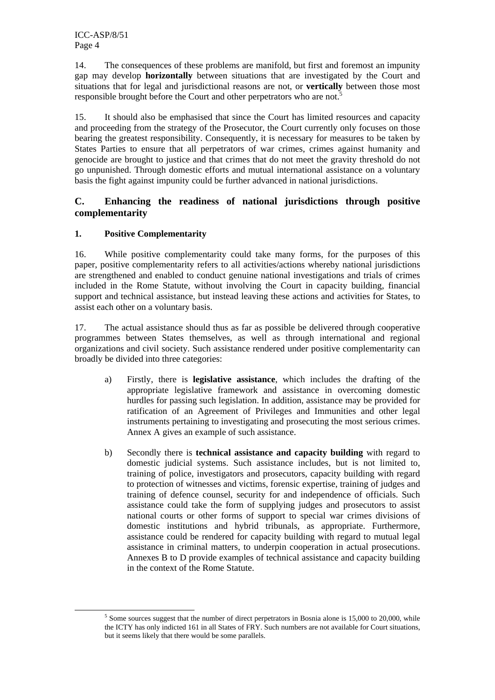14. The consequences of these problems are manifold, but first and foremost an impunity gap may develop **horizontally** between situations that are investigated by the Court and situations that for legal and jurisdictional reasons are not, or **vertically** between those most responsible brought before the Court and other perpetrators who are not.<sup>5</sup>

15. It should also be emphasised that since the Court has limited resources and capacity and proceeding from the strategy of the Prosecutor, the Court currently only focuses on those bearing the greatest responsibility. Consequently, it is necessary for measures to be taken by States Parties to ensure that all perpetrators of war crimes, crimes against humanity and genocide are brought to justice and that crimes that do not meet the gravity threshold do not go unpunished. Through domestic efforts and mutual international assistance on a voluntary basis the fight against impunity could be further advanced in national jurisdictions.

# **C. Enhancing the readiness of national jurisdictions through positive complementarity**

# **1. Positive Complementarity**

16. While positive complementarity could take many forms, for the purposes of this paper, positive complementarity refers to all activities/actions whereby national jurisdictions are strengthened and enabled to conduct genuine national investigations and trials of crimes included in the Rome Statute, without involving the Court in capacity building, financial support and technical assistance, but instead leaving these actions and activities for States, to assist each other on a voluntary basis.

17. The actual assistance should thus as far as possible be delivered through cooperative programmes between States themselves, as well as through international and regional organizations and civil society. Such assistance rendered under positive complementarity can broadly be divided into three categories:

- a) Firstly, there is **legislative assistance**, which includes the drafting of the appropriate legislative framework and assistance in overcoming domestic hurdles for passing such legislation. In addition, assistance may be provided for ratification of an Agreement of Privileges and Immunities and other legal instruments pertaining to investigating and prosecuting the most serious crimes. Annex A gives an example of such assistance.
- b) Secondly there is **technical assistance and capacity building** with regard to domestic judicial systems. Such assistance includes, but is not limited to, training of police, investigators and prosecutors, capacity building with regard to protection of witnesses and victims, forensic expertise, training of judges and training of defence counsel, security for and independence of officials. Such assistance could take the form of supplying judges and prosecutors to assist national courts or other forms of support to special war crimes divisions of domestic institutions and hybrid tribunals, as appropriate. Furthermore, assistance could be rendered for capacity building with regard to mutual legal assistance in criminal matters, to underpin cooperation in actual prosecutions. Annexes B to D provide examples of technical assistance and capacity building in the context of the Rome Statute.

 $\frac{1}{5}$  $<sup>5</sup>$  Some sources suggest that the number of direct perpetrators in Bosnia alone is 15,000 to 20,000, while</sup> the ICTY has only indicted 161 in all States of FRY. Such numbers are not available for Court situations, but it seems likely that there would be some parallels.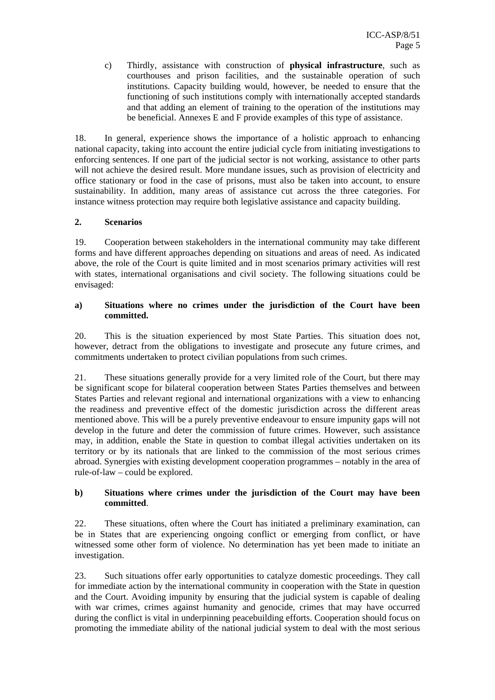c) Thirdly, assistance with construction of **physical infrastructure**, such as courthouses and prison facilities, and the sustainable operation of such institutions. Capacity building would, however, be needed to ensure that the functioning of such institutions comply with internationally accepted standards and that adding an element of training to the operation of the institutions may be beneficial. Annexes E and F provide examples of this type of assistance.

18. In general, experience shows the importance of a holistic approach to enhancing national capacity, taking into account the entire judicial cycle from initiating investigations to enforcing sentences. If one part of the judicial sector is not working, assistance to other parts will not achieve the desired result. More mundane issues, such as provision of electricity and office stationary or food in the case of prisons, must also be taken into account, to ensure sustainability. In addition, many areas of assistance cut across the three categories. For instance witness protection may require both legislative assistance and capacity building.

# **2. Scenarios**

19. Cooperation between stakeholders in the international community may take different forms and have different approaches depending on situations and areas of need. As indicated above, the role of the Court is quite limited and in most scenarios primary activities will rest with states, international organisations and civil society. The following situations could be envisaged:

#### **a) Situations where no crimes under the jurisdiction of the Court have been committed.**

20. This is the situation experienced by most State Parties. This situation does not, however, detract from the obligations to investigate and prosecute any future crimes, and commitments undertaken to protect civilian populations from such crimes.

21. These situations generally provide for a very limited role of the Court, but there may be significant scope for bilateral cooperation between States Parties themselves and between States Parties and relevant regional and international organizations with a view to enhancing the readiness and preventive effect of the domestic jurisdiction across the different areas mentioned above. This will be a purely preventive endeavour to ensure impunity gaps will not develop in the future and deter the commission of future crimes. However, such assistance may, in addition, enable the State in question to combat illegal activities undertaken on its territory or by its nationals that are linked to the commission of the most serious crimes abroad. Synergies with existing development cooperation programmes – notably in the area of rule-of-law – could be explored.

#### **b) Situations where crimes under the jurisdiction of the Court may have been committed**.

22. These situations, often where the Court has initiated a preliminary examination, can be in States that are experiencing ongoing conflict or emerging from conflict, or have witnessed some other form of violence. No determination has yet been made to initiate an investigation.

23. Such situations offer early opportunities to catalyze domestic proceedings. They call for immediate action by the international community in cooperation with the State in question and the Court. Avoiding impunity by ensuring that the judicial system is capable of dealing with war crimes, crimes against humanity and genocide, crimes that may have occurred during the conflict is vital in underpinning peacebuilding efforts. Cooperation should focus on promoting the immediate ability of the national judicial system to deal with the most serious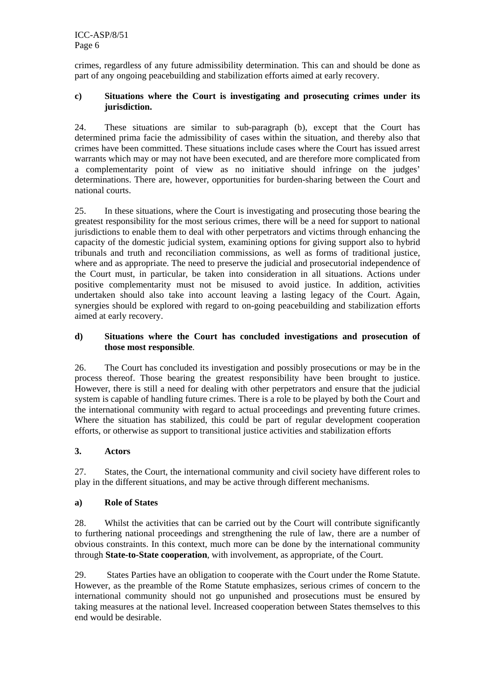crimes, regardless of any future admissibility determination. This can and should be done as part of any ongoing peacebuilding and stabilization efforts aimed at early recovery.

#### **c) Situations where the Court is investigating and prosecuting crimes under its jurisdiction.**

24. These situations are similar to sub-paragraph (b), except that the Court has determined prima facie the admissibility of cases within the situation, and thereby also that crimes have been committed. These situations include cases where the Court has issued arrest warrants which may or may not have been executed, and are therefore more complicated from a complementarity point of view as no initiative should infringe on the judges' determinations. There are, however, opportunities for burden-sharing between the Court and national courts.

25. In these situations, where the Court is investigating and prosecuting those bearing the greatest responsibility for the most serious crimes, there will be a need for support to national jurisdictions to enable them to deal with other perpetrators and victims through enhancing the capacity of the domestic judicial system, examining options for giving support also to hybrid tribunals and truth and reconciliation commissions, as well as forms of traditional justice, where and as appropriate. The need to preserve the judicial and prosecutorial independence of the Court must, in particular, be taken into consideration in all situations. Actions under positive complementarity must not be misused to avoid justice. In addition, activities undertaken should also take into account leaving a lasting legacy of the Court. Again, synergies should be explored with regard to on-going peacebuilding and stabilization efforts aimed at early recovery.

#### **d) Situations where the Court has concluded investigations and prosecution of those most responsible**.

26. The Court has concluded its investigation and possibly prosecutions or may be in the process thereof. Those bearing the greatest responsibility have been brought to justice. However, there is still a need for dealing with other perpetrators and ensure that the judicial system is capable of handling future crimes. There is a role to be played by both the Court and the international community with regard to actual proceedings and preventing future crimes. Where the situation has stabilized, this could be part of regular development cooperation efforts, or otherwise as support to transitional justice activities and stabilization efforts

# **3. Actors**

27. States, the Court, the international community and civil society have different roles to play in the different situations, and may be active through different mechanisms.

# **a) Role of States**

28. Whilst the activities that can be carried out by the Court will contribute significantly to furthering national proceedings and strengthening the rule of law, there are a number of obvious constraints. In this context, much more can be done by the international community through **State-to-State cooperation**, with involvement, as appropriate, of the Court.

29. States Parties have an obligation to cooperate with the Court under the Rome Statute. However, as the preamble of the Rome Statute emphasizes, serious crimes of concern to the international community should not go unpunished and prosecutions must be ensured by taking measures at the national level. Increased cooperation between States themselves to this end would be desirable.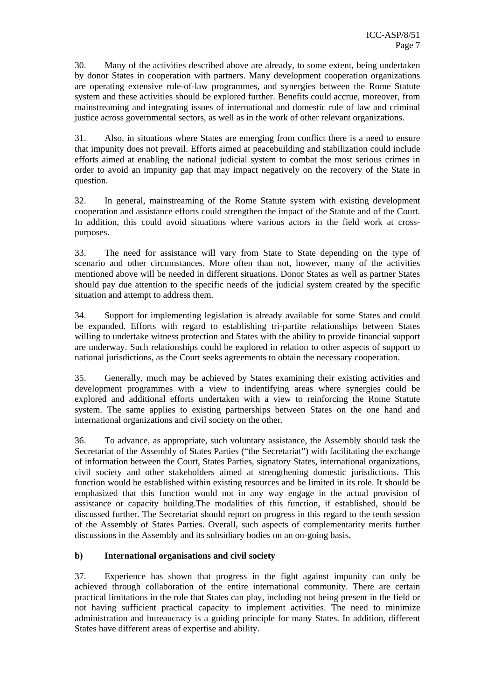30. Many of the activities described above are already, to some extent, being undertaken by donor States in cooperation with partners. Many development cooperation organizations are operating extensive rule-of-law programmes, and synergies between the Rome Statute system and these activities should be explored further. Benefits could accrue, moreover, from mainstreaming and integrating issues of international and domestic rule of law and criminal justice across governmental sectors, as well as in the work of other relevant organizations.

31. Also, in situations where States are emerging from conflict there is a need to ensure that impunity does not prevail. Efforts aimed at peacebuilding and stabilization could include efforts aimed at enabling the national judicial system to combat the most serious crimes in order to avoid an impunity gap that may impact negatively on the recovery of the State in question.

32. In general, mainstreaming of the Rome Statute system with existing development cooperation and assistance efforts could strengthen the impact of the Statute and of the Court. In addition, this could avoid situations where various actors in the field work at crosspurposes.

33. The need for assistance will vary from State to State depending on the type of scenario and other circumstances. More often than not, however, many of the activities mentioned above will be needed in different situations. Donor States as well as partner States should pay due attention to the specific needs of the judicial system created by the specific situation and attempt to address them.

34. Support for implementing legislation is already available for some States and could be expanded. Efforts with regard to establishing tri-partite relationships between States willing to undertake witness protection and States with the ability to provide financial support are underway. Such relationships could be explored in relation to other aspects of support to national jurisdictions, as the Court seeks agreements to obtain the necessary cooperation.

35. Generally, much may be achieved by States examining their existing activities and development programmes with a view to indentifying areas where synergies could be explored and additional efforts undertaken with a view to reinforcing the Rome Statute system. The same applies to existing partnerships between States on the one hand and international organizations and civil society on the other.

36. To advance, as appropriate, such voluntary assistance, the Assembly should task the Secretariat of the Assembly of States Parties ("the Secretariat") with facilitating the exchange of information between the Court, States Parties, signatory States, international organizations, civil society and other stakeholders aimed at strengthening domestic jurisdictions. This function would be established within existing resources and be limited in its role. It should be emphasized that this function would not in any way engage in the actual provision of assistance or capacity building.The modalities of this function, if established, should be discussed further. The Secretariat should report on progress in this regard to the tenth session of the Assembly of States Parties. Overall, such aspects of complementarity merits further discussions in the Assembly and its subsidiary bodies on an on-going basis.

# **b) International organisations and civil society**

37. Experience has shown that progress in the fight against impunity can only be achieved through collaboration of the entire international community. There are certain practical limitations in the role that States can play, including not being present in the field or not having sufficient practical capacity to implement activities. The need to minimize administration and bureaucracy is a guiding principle for many States. In addition, different States have different areas of expertise and ability.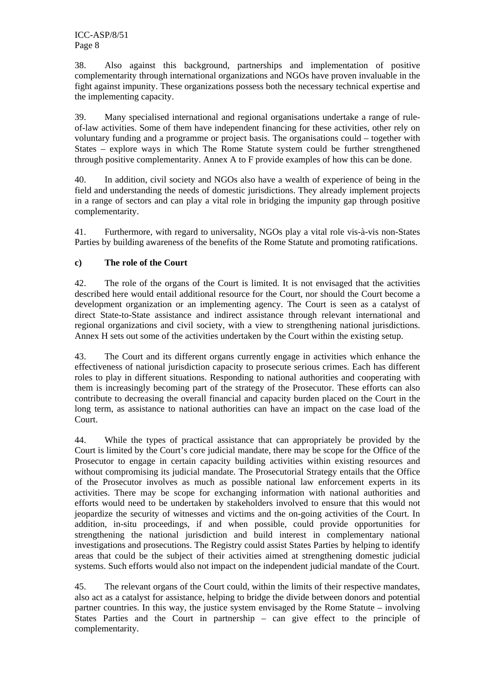38. Also against this background, partnerships and implementation of positive complementarity through international organizations and NGOs have proven invaluable in the fight against impunity. These organizations possess both the necessary technical expertise and the implementing capacity.

39. Many specialised international and regional organisations undertake a range of ruleof-law activities. Some of them have independent financing for these activities, other rely on voluntary funding and a programme or project basis. The organisations could – together with States – explore ways in which The Rome Statute system could be further strengthened through positive complementarity. Annex A to F provide examples of how this can be done.

40. In addition, civil society and NGOs also have a wealth of experience of being in the field and understanding the needs of domestic jurisdictions. They already implement projects in a range of sectors and can play a vital role in bridging the impunity gap through positive complementarity.

41. Furthermore, with regard to universality, NGOs play a vital role vis-à-vis non-States Parties by building awareness of the benefits of the Rome Statute and promoting ratifications.

# **c) The role of the Court**

42. The role of the organs of the Court is limited. It is not envisaged that the activities described here would entail additional resource for the Court, nor should the Court become a development organization or an implementing agency. The Court is seen as a catalyst of direct State-to-State assistance and indirect assistance through relevant international and regional organizations and civil society, with a view to strengthening national jurisdictions. Annex H sets out some of the activities undertaken by the Court within the existing setup.

43. The Court and its different organs currently engage in activities which enhance the effectiveness of national jurisdiction capacity to prosecute serious crimes. Each has different roles to play in different situations. Responding to national authorities and cooperating with them is increasingly becoming part of the strategy of the Prosecutor. These efforts can also contribute to decreasing the overall financial and capacity burden placed on the Court in the long term, as assistance to national authorities can have an impact on the case load of the Court.

44. While the types of practical assistance that can appropriately be provided by the Court is limited by the Court's core judicial mandate, there may be scope for the Office of the Prosecutor to engage in certain capacity building activities within existing resources and without compromising its judicial mandate. The Prosecutorial Strategy entails that the Office of the Prosecutor involves as much as possible national law enforcement experts in its activities. There may be scope for exchanging information with national authorities and efforts would need to be undertaken by stakeholders involved to ensure that this would not jeopardize the security of witnesses and victims and the on-going activities of the Court. In addition, in-situ proceedings, if and when possible, could provide opportunities for strengthening the national jurisdiction and build interest in complementary national investigations and prosecutions. The Registry could assist States Parties by helping to identify areas that could be the subject of their activities aimed at strengthening domestic judicial systems. Such efforts would also not impact on the independent judicial mandate of the Court.

45. The relevant organs of the Court could, within the limits of their respective mandates, also act as a catalyst for assistance, helping to bridge the divide between donors and potential partner countries. In this way, the justice system envisaged by the Rome Statute – involving States Parties and the Court in partnership – can give effect to the principle of complementarity.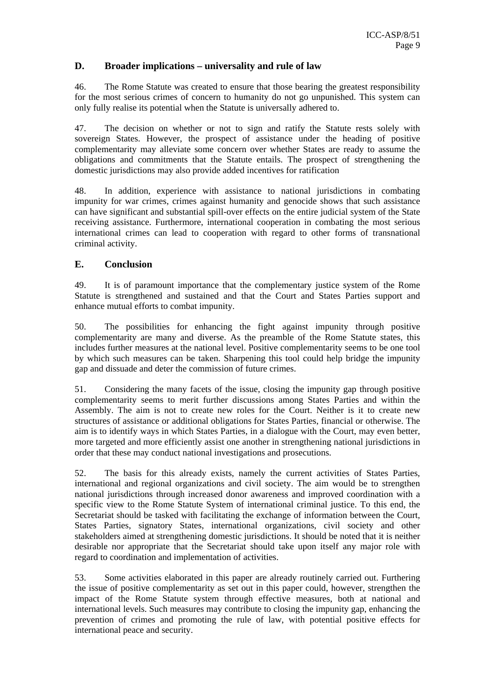# **D. Broader implications – universality and rule of law**

46. The Rome Statute was created to ensure that those bearing the greatest responsibility for the most serious crimes of concern to humanity do not go unpunished. This system can only fully realise its potential when the Statute is universally adhered to.

47. The decision on whether or not to sign and ratify the Statute rests solely with sovereign States. However, the prospect of assistance under the heading of positive complementarity may alleviate some concern over whether States are ready to assume the obligations and commitments that the Statute entails. The prospect of strengthening the domestic jurisdictions may also provide added incentives for ratification

48. In addition, experience with assistance to national jurisdictions in combating impunity for war crimes, crimes against humanity and genocide shows that such assistance can have significant and substantial spill-over effects on the entire judicial system of the State receiving assistance. Furthermore, international cooperation in combating the most serious international crimes can lead to cooperation with regard to other forms of transnational criminal activity.

# **E. Conclusion**

49. It is of paramount importance that the complementary justice system of the Rome Statute is strengthened and sustained and that the Court and States Parties support and enhance mutual efforts to combat impunity.

50. The possibilities for enhancing the fight against impunity through positive complementarity are many and diverse. As the preamble of the Rome Statute states, this includes further measures at the national level. Positive complementarity seems to be one tool by which such measures can be taken. Sharpening this tool could help bridge the impunity gap and dissuade and deter the commission of future crimes.

51. Considering the many facets of the issue, closing the impunity gap through positive complementarity seems to merit further discussions among States Parties and within the Assembly. The aim is not to create new roles for the Court. Neither is it to create new structures of assistance or additional obligations for States Parties, financial or otherwise. The aim is to identify ways in which States Parties, in a dialogue with the Court, may even better, more targeted and more efficiently assist one another in strengthening national jurisdictions in order that these may conduct national investigations and prosecutions.

52. The basis for this already exists, namely the current activities of States Parties, international and regional organizations and civil society. The aim would be to strengthen national jurisdictions through increased donor awareness and improved coordination with a specific view to the Rome Statute System of international criminal justice. To this end, the Secretariat should be tasked with facilitating the exchange of information between the Court, States Parties, signatory States, international organizations, civil society and other stakeholders aimed at strengthening domestic jurisdictions. It should be noted that it is neither desirable nor appropriate that the Secretariat should take upon itself any major role with regard to coordination and implementation of activities.

53. Some activities elaborated in this paper are already routinely carried out. Furthering the issue of positive complementarity as set out in this paper could, however, strengthen the impact of the Rome Statute system through effective measures, both at national and international levels. Such measures may contribute to closing the impunity gap, enhancing the prevention of crimes and promoting the rule of law, with potential positive effects for international peace and security.